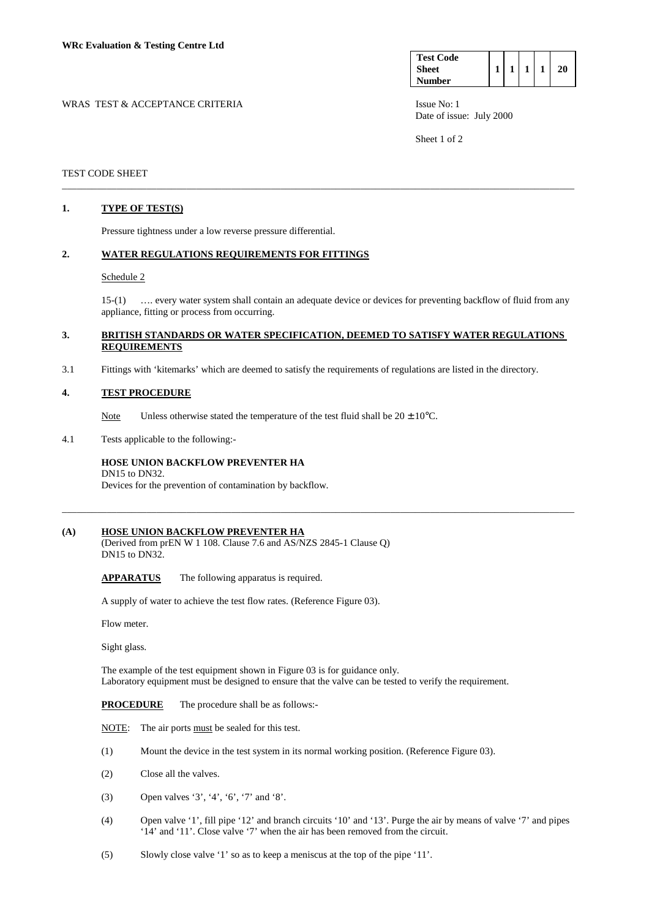| <b>Test Code</b> |  |  |  |
|------------------|--|--|--|
| <b>Sheet</b>     |  |  |  |
| <b>Number</b>    |  |  |  |

WRAS TEST & ACCEPTANCE CRITERIA **ISSUE NO:** 1 Date of issue: July 2000

Sheet 1 of 2

### TEST CODE SHEET

## **1. TYPE OF TEST(S)**

Pressure tightness under a low reverse pressure differential.

#### **2. WATER REGULATIONS REQUIREMENTS FOR FITTINGS**

#### Schedule 2

 15-(1) …. every water system shall contain an adequate device or devices for preventing backflow of fluid from any appliance, fitting or process from occurring.

## **3. BRITISH STANDARDS OR WATER SPECIFICATION, DEEMED TO SATISFY WATER REGULATIONS REQUIREMENTS**

\_\_\_\_\_\_\_\_\_\_\_\_\_\_\_\_\_\_\_\_\_\_\_\_\_\_\_\_\_\_\_\_\_\_\_\_\_\_\_\_\_\_\_\_\_\_\_\_\_\_\_\_\_\_\_\_\_\_\_\_\_\_\_\_\_\_\_\_\_\_\_\_\_\_\_\_\_\_\_\_\_\_\_\_\_\_\_\_\_\_\_\_\_\_\_\_\_\_\_\_\_\_\_

\_\_\_\_\_\_\_\_\_\_\_\_\_\_\_\_\_\_\_\_\_\_\_\_\_\_\_\_\_\_\_\_\_\_\_\_\_\_\_\_\_\_\_\_\_\_\_\_\_\_\_\_\_\_\_\_\_\_\_\_\_\_\_\_\_\_\_\_\_\_\_\_\_\_\_\_\_\_\_\_\_\_\_\_\_\_\_\_\_\_\_\_\_\_\_\_\_\_\_\_\_\_\_

3.1 Fittings with 'kitemarks' which are deemed to satisfy the requirements of regulations are listed in the directory.

#### **4. TEST PROCEDURE**

Note Unless otherwise stated the temperature of the test fluid shall be  $20 \pm 10^{\circ}$ C.

4.1 Tests applicable to the following:-

DN15 to DN32.

## **HOSE UNION BACKFLOW PREVENTER HA**

Devices for the prevention of contamination by backflow.

### **(A) HOSE UNION BACKFLOW PREVENTER HA**

(Derived from prEN W 1 108. Clause 7.6 and AS/NZS 2845-1 Clause Q) DN15 to DN32.

 **APPARATUS** The following apparatus is required.

A supply of water to achieve the test flow rates. (Reference Figure 03).

Flow meter.

Sight glass.

The example of the test equipment shown in Figure 03 is for guidance only. Laboratory equipment must be designed to ensure that the valve can be tested to verify the requirement.

**PROCEDURE** The procedure shall be as follows:-

**NOTE:** The air ports must be sealed for this test.

- (1) Mount the device in the test system in its normal working position. (Reference Figure 03).
- (2) Close all the valves.
- (3) Open valves '3', '4', '6', '7' and '8'.
- (4) Open valve '1', fill pipe '12' and branch circuits '10' and '13'. Purge the air by means of valve '7' and pipes '14' and '11'. Close valve '7' when the air has been removed from the circuit.
- (5) Slowly close valve '1' so as to keep a meniscus at the top of the pipe '11'.